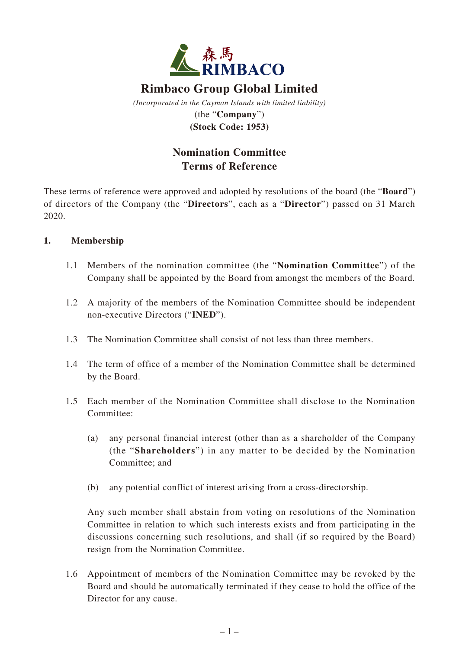

# **Rimbaco Group Global Limited**

*(Incorporated in the Cayman Islands with limited liability)* (the "**Company**") **(Stock Code: 1953)**

## **Nomination Committee Terms of Reference**

These terms of reference were approved and adopted by resolutions of the board (the "**Board**") of directors of the Company (the "**Directors**", each as a "**Director**") passed on 31 March 2020.

## **1. Membership**

- 1.1 Members of the nomination committee (the "**Nomination Committee**") of the Company shall be appointed by the Board from amongst the members of the Board.
- 1.2 A majority of the members of the Nomination Committee should be independent non-executive Directors ("**INED**").
- 1.3 The Nomination Committee shall consist of not less than three members.
- 1.4 The term of office of a member of the Nomination Committee shall be determined by the Board.
- 1.5 Each member of the Nomination Committee shall disclose to the Nomination Committee:
	- (a) any personal financial interest (other than as a shareholder of the Company (the "**Shareholders**") in any matter to be decided by the Nomination Committee; and
	- (b) any potential conflict of interest arising from a cross-directorship.

Any such member shall abstain from voting on resolutions of the Nomination Committee in relation to which such interests exists and from participating in the discussions concerning such resolutions, and shall (if so required by the Board) resign from the Nomination Committee.

1.6 Appointment of members of the Nomination Committee may be revoked by the Board and should be automatically terminated if they cease to hold the office of the Director for any cause.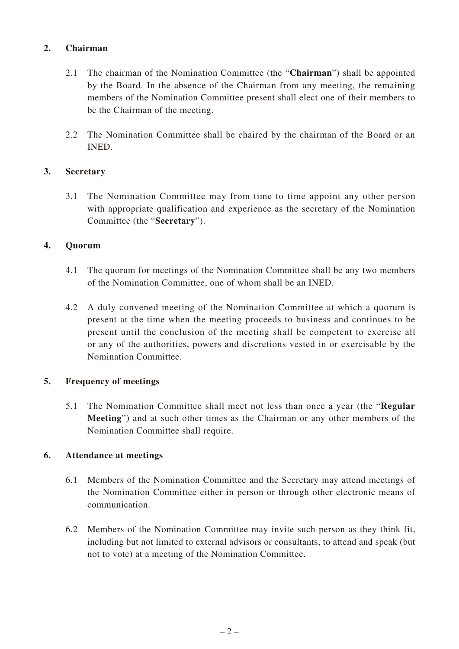### **2. Chairman**

- 2.1 The chairman of the Nomination Committee (the "**Chairman**") shall be appointed by the Board. In the absence of the Chairman from any meeting, the remaining members of the Nomination Committee present shall elect one of their members to be the Chairman of the meeting.
- 2.2 The Nomination Committee shall be chaired by the chairman of the Board or an INED.

#### **3. Secretary**

3.1 The Nomination Committee may from time to time appoint any other person with appropriate qualification and experience as the secretary of the Nomination Committee (the "**Secretary**").

#### **4. Quorum**

- 4.1 The quorum for meetings of the Nomination Committee shall be any two members of the Nomination Committee, one of whom shall be an INED.
- 4.2 A duly convened meeting of the Nomination Committee at which a quorum is present at the time when the meeting proceeds to business and continues to be present until the conclusion of the meeting shall be competent to exercise all or any of the authorities, powers and discretions vested in or exercisable by the Nomination Committee.

#### **5. Frequency of meetings**

5.1 The Nomination Committee shall meet not less than once a year (the "**Regular Meeting**") and at such other times as the Chairman or any other members of the Nomination Committee shall require.

#### **6. Attendance at meetings**

- 6.1 Members of the Nomination Committee and the Secretary may attend meetings of the Nomination Committee either in person or through other electronic means of communication.
- 6.2 Members of the Nomination Committee may invite such person as they think fit, including but not limited to external advisors or consultants, to attend and speak (but not to vote) at a meeting of the Nomination Committee.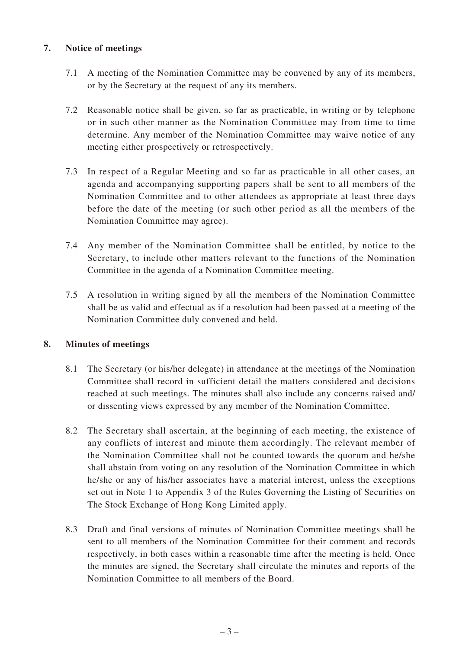### **7. Notice of meetings**

- 7.1 A meeting of the Nomination Committee may be convened by any of its members, or by the Secretary at the request of any its members.
- 7.2 Reasonable notice shall be given, so far as practicable, in writing or by telephone or in such other manner as the Nomination Committee may from time to time determine. Any member of the Nomination Committee may waive notice of any meeting either prospectively or retrospectively.
- 7.3 In respect of a Regular Meeting and so far as practicable in all other cases, an agenda and accompanying supporting papers shall be sent to all members of the Nomination Committee and to other attendees as appropriate at least three days before the date of the meeting (or such other period as all the members of the Nomination Committee may agree).
- 7.4 Any member of the Nomination Committee shall be entitled, by notice to the Secretary, to include other matters relevant to the functions of the Nomination Committee in the agenda of a Nomination Committee meeting.
- 7.5 A resolution in writing signed by all the members of the Nomination Committee shall be as valid and effectual as if a resolution had been passed at a meeting of the Nomination Committee duly convened and held.

## **8. Minutes of meetings**

- 8.1 The Secretary (or his/her delegate) in attendance at the meetings of the Nomination Committee shall record in sufficient detail the matters considered and decisions reached at such meetings. The minutes shall also include any concerns raised and/ or dissenting views expressed by any member of the Nomination Committee.
- 8.2 The Secretary shall ascertain, at the beginning of each meeting, the existence of any conflicts of interest and minute them accordingly. The relevant member of the Nomination Committee shall not be counted towards the quorum and he/she shall abstain from voting on any resolution of the Nomination Committee in which he/she or any of his/her associates have a material interest, unless the exceptions set out in Note 1 to Appendix 3 of the Rules Governing the Listing of Securities on The Stock Exchange of Hong Kong Limited apply.
- 8.3 Draft and final versions of minutes of Nomination Committee meetings shall be sent to all members of the Nomination Committee for their comment and records respectively, in both cases within a reasonable time after the meeting is held. Once the minutes are signed, the Secretary shall circulate the minutes and reports of the Nomination Committee to all members of the Board.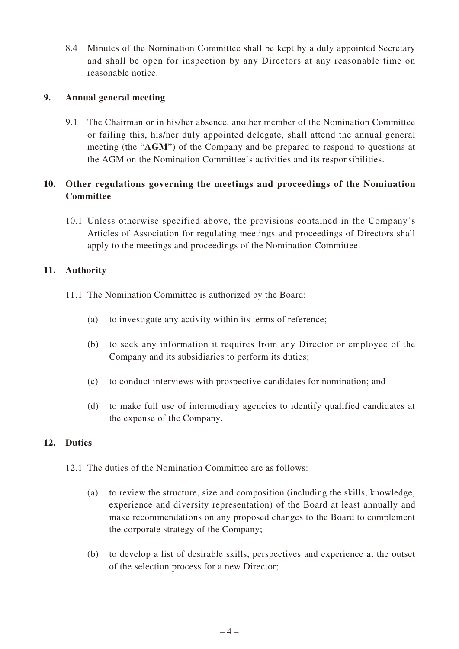8.4 Minutes of the Nomination Committee shall be kept by a duly appointed Secretary and shall be open for inspection by any Directors at any reasonable time on reasonable notice.

#### **9. Annual general meeting**

9.1 The Chairman or in his/her absence, another member of the Nomination Committee or failing this, his/her duly appointed delegate, shall attend the annual general meeting (the "**AGM**") of the Company and be prepared to respond to questions at the AGM on the Nomination Committee's activities and its responsibilities.

## **10. Other regulations governing the meetings and proceedings of the Nomination Committee**

10.1 Unless otherwise specified above, the provisions contained in the Company's Articles of Association for regulating meetings and proceedings of Directors shall apply to the meetings and proceedings of the Nomination Committee.

## **11. Authority**

- 11.1 The Nomination Committee is authorized by the Board:
	- (a) to investigate any activity within its terms of reference;
	- (b) to seek any information it requires from any Director or employee of the Company and its subsidiaries to perform its duties;
	- (c) to conduct interviews with prospective candidates for nomination; and
	- (d) to make full use of intermediary agencies to identify qualified candidates at the expense of the Company.

## **12. Duties**

- 12.1 The duties of the Nomination Committee are as follows:
	- (a) to review the structure, size and composition (including the skills, knowledge, experience and diversity representation) of the Board at least annually and make recommendations on any proposed changes to the Board to complement the corporate strategy of the Company;
	- (b) to develop a list of desirable skills, perspectives and experience at the outset of the selection process for a new Director;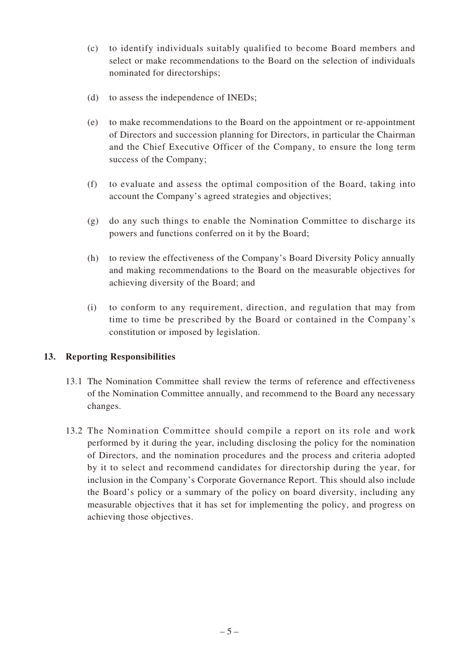- (c) to identify individuals suitably qualified to become Board members and select or make recommendations to the Board on the selection of individuals nominated for directorships;
- (d) to assess the independence of INEDs;
- (e) to make recommendations to the Board on the appointment or re-appointment of Directors and succession planning for Directors, in particular the Chairman and the Chief Executive Officer of the Company, to ensure the long term success of the Company;
- (f) to evaluate and assess the optimal composition of the Board, taking into account the Company's agreed strategies and objectives;
- (g) do any such things to enable the Nomination Committee to discharge its powers and functions conferred on it by the Board;
- (h) to review the effectiveness of the Company's Board Diversity Policy annually and making recommendations to the Board on the measurable objectives for achieving diversity of the Board; and
- (i) to conform to any requirement, direction, and regulation that may from time to time be prescribed by the Board or contained in the Company's constitution or imposed by legislation.

#### **13. Reporting Responsibilities**

- 13.1 The Nomination Committee shall review the terms of reference and effectiveness of the Nomination Committee annually, and recommend to the Board any necessary changes.
- 13.2 The Nomination Committee should compile a report on its role and work performed by it during the year, including disclosing the policy for the nomination of Directors, and the nomination procedures and the process and criteria adopted by it to select and recommend candidates for directorship during the year, for inclusion in the Company's Corporate Governance Report. This should also include the Board's policy or a summary of the policy on board diversity, including any measurable objectives that it has set for implementing the policy, and progress on achieving those objectives.